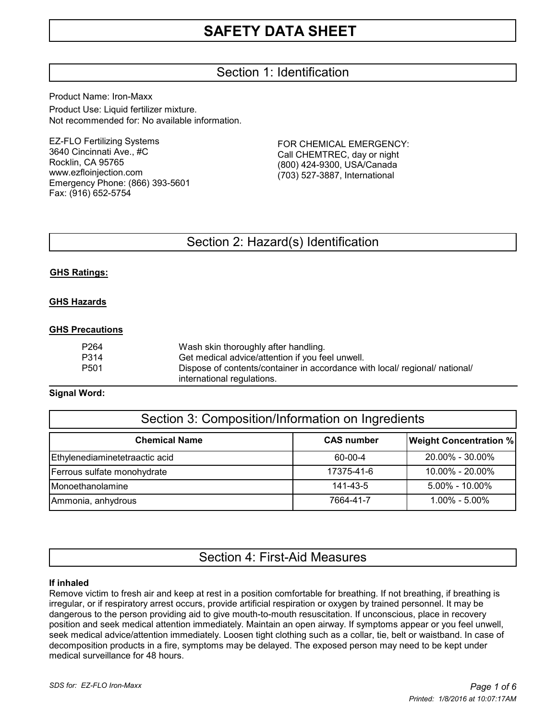# Section 1: Identification

Product Name: Iron-Maxx Product Use: Liquid fertilizer mixture. Not recommended for: No available information.

EZ-FLO Fertilizing Systems 3640 Cincinnati Ave., #C Rocklin, CA 95765 www.ezfloinjection.com Emergency Phone: (866) 393-5601 Fax: (916) 652-5754

FOR CHEMICAL EMERGENCY: Call CHEMTREC, day or night (800) 424-9300, USA/Canada (703) 527-3887, International

# Section 2: Hazard(s) Identification

# **GHS Ratings:**

### **GHS Hazards**

### **GHS Precautions**

| P264 | Wash skin thoroughly after handling.                                        |
|------|-----------------------------------------------------------------------------|
| P314 | Get medical advice/attention if you feel unwell.                            |
| P501 | Dispose of contents/container in accordance with local/ regional/ national/ |
|      | international regulations.                                                  |

### **Signal Word:**

| Section 3: Composition/Information on Ingredients |                   |                               |  |  |  |
|---------------------------------------------------|-------------------|-------------------------------|--|--|--|
| <b>Chemical Name</b>                              | <b>CAS number</b> | <b>Weight Concentration %</b> |  |  |  |
| Ethylenediaminetetraactic acid                    | 60-00-4           | 20.00% - 30.00%               |  |  |  |
| Ferrous sulfate monohydrate                       | 17375-41-6        | 10.00% - 20.00%               |  |  |  |
| Monoethanolamine                                  | 141-43-5          | $5.00\% - 10.00\%$            |  |  |  |
| Ammonia, anhydrous                                | 7664-41-7         | $1.00\% - 5.00\%$             |  |  |  |

# Section 4: First-Aid Measures

### **If inhaled**

Remove victim to fresh air and keep at rest in a position comfortable for breathing. If not breathing, if breathing is irregular, or if respiratory arrest occurs, provide artificial respiration or oxygen by trained personnel. It may be dangerous to the person providing aid to give mouth-to-mouth resuscitation. If unconscious, place in recovery position and seek medical attention immediately. Maintain an open airway. If symptoms appear or you feel unwell, seek medical advice/attention immediately. Loosen tight clothing such as a collar, tie, belt or waistband. In case of decomposition products in a fire, symptoms may be delayed. The exposed person may need to be kept under medical surveillance for 48 hours.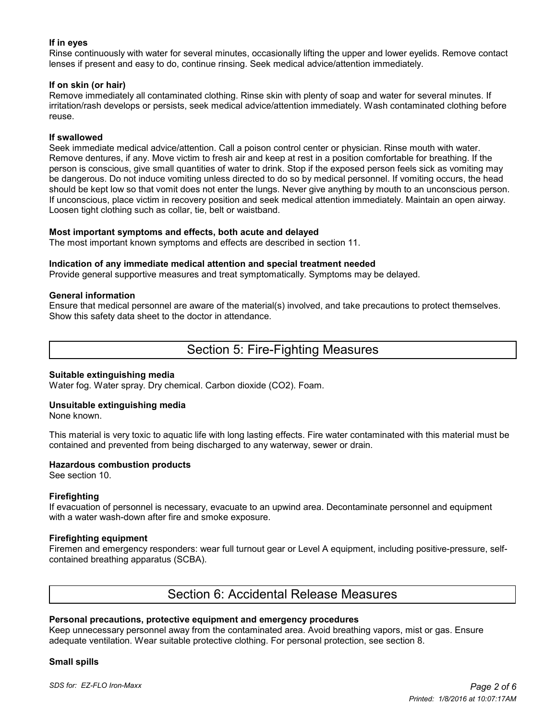# **If in eyes**

Rinse continuously with water for several minutes, occasionally lifting the upper and lower eyelids. Remove contact lenses if present and easy to do, continue rinsing. Seek medical advice/attention immediately.

### **If on skin (or hair)**

Remove immediately all contaminated clothing. Rinse skin with plenty of soap and water for several minutes. If irritation/rash develops or persists, seek medical advice/attention immediately. Wash contaminated clothing before reuse.

### **If swallowed**

Seek immediate medical advice/attention. Call a poison control center or physician. Rinse mouth with water. Remove dentures, if any. Move victim to fresh air and keep at rest in a position comfortable for breathing. If the person is conscious, give small quantities of water to drink. Stop if the exposed person feels sick as vomiting may be dangerous. Do not induce vomiting unless directed to do so by medical personnel. If vomiting occurs, the head should be kept low so that vomit does not enter the lungs. Never give anything by mouth to an unconscious person. If unconscious, place victim in recovery position and seek medical attention immediately. Maintain an open airway. Loosen tight clothing such as collar, tie, belt or waistband.

#### **Most important symptoms and effects, both acute and delayed**

The most important known symptoms and effects are described in section 11.

#### **Indication of any immediate medical attention and special treatment needed**

Provide general supportive measures and treat symptomatically. Symptoms may be delayed.

#### **General information**

Ensure that medical personnel are aware of the material(s) involved, and take precautions to protect themselves. Show this safety data sheet to the doctor in attendance.

# Section 5: Fire-Fighting Measures

#### **Suitable extinguishing media**

Water fog. Water spray. Dry chemical. Carbon dioxide (CO2). Foam.

# **Unsuitable extinguishing media**

None known.

This material is very toxic to aquatic life with long lasting effects. Fire water contaminated with this material must be contained and prevented from being discharged to any waterway, sewer or drain.

### **Hazardous combustion products**

See section 10.

### **Firefighting**

If evacuation of personnel is necessary, evacuate to an upwind area. Decontaminate personnel and equipment with a water wash-down after fire and smoke exposure.

#### **Firefighting equipment**

Firemen and emergency responders: wear full turnout gear or Level A equipment, including positive-pressure, selfcontained breathing apparatus (SCBA).

# Section 6: Accidental Release Measures

### **Personal precautions, protective equipment and emergency procedures**

Keep unnecessary personnel away from the contaminated area. Avoid breathing vapors, mist or gas. Ensure adequate ventilation. Wear suitable protective clothing. For personal protection, see section 8.

#### **Small spills**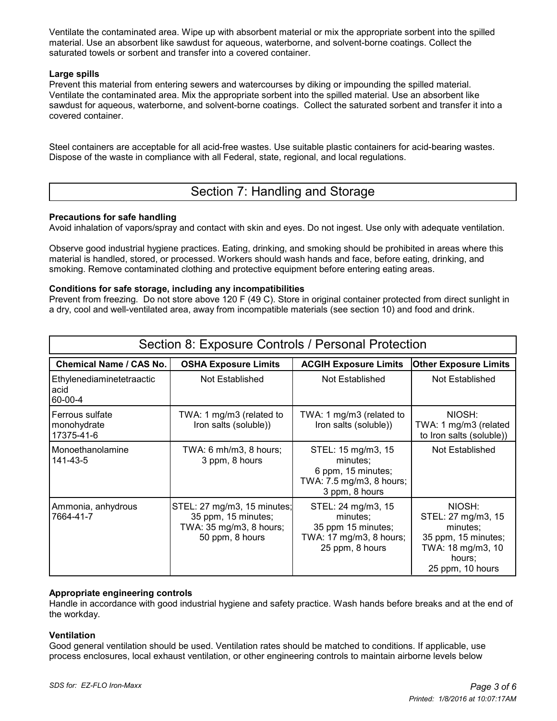Ventilate the contaminated area. Wipe up with absorbent material or mix the appropriate sorbent into the spilled material. Use an absorbent like sawdust for aqueous, waterborne, and solvent-borne coatings. Collect the saturated towels or sorbent and transfer into a covered container.

# **Large spills**

Prevent this material from entering sewers and watercourses by diking or impounding the spilled material. Ventilate the contaminated area. Mix the appropriate sorbent into the spilled material. Use an absorbent like sawdust for aqueous, waterborne, and solvent-borne coatings. Collect the saturated sorbent and transfer it into a covered container.

Steel containers are acceptable for all acid-free wastes. Use suitable plastic containers for acid-bearing wastes. Dispose of the waste in compliance with all Federal, state, regional, and local regulations.

# Section 7: Handling and Storage

# **Precautions for safe handling**

Avoid inhalation of vapors/spray and contact with skin and eyes. Do not ingest. Use only with adequate ventilation.

Observe good industrial hygiene practices. Eating, drinking, and smoking should be prohibited in areas where this material is handled, stored, or processed. Workers should wash hands and face, before eating, drinking, and smoking. Remove contaminated clothing and protective equipment before entering eating areas.

### **Conditions for safe storage, including any incompatibilities**

Prevent from freezing. Do not store above 120 F (49 C). Store in original container protected from direct sunlight in a dry, cool and well-ventilated area, away from incompatible materials (see section 10) and food and drink.

| Section 8: Exposure Controls / Personal Protection  |                                                                                                  |                                                                                                    |                                                                                                                    |  |  |  |  |
|-----------------------------------------------------|--------------------------------------------------------------------------------------------------|----------------------------------------------------------------------------------------------------|--------------------------------------------------------------------------------------------------------------------|--|--|--|--|
| <b>Chemical Name / CAS No.</b>                      | <b>OSHA Exposure Limits</b>                                                                      | <b>ACGIH Exposure Limits</b>                                                                       | <b>Other Exposure Limits</b>                                                                                       |  |  |  |  |
| Ethylenediaminetetraactic<br>acid<br>60-00-4        | Not Established                                                                                  | Not Established                                                                                    | Not Established                                                                                                    |  |  |  |  |
| <b>Ferrous sulfate</b><br>monohydrate<br>17375-41-6 | TWA: 1 mg/m3 (related to<br>Iron salts (soluble))                                                | TWA: 1 mg/m3 (related to<br>Iron salts (soluble))                                                  | NIOSH:<br>TWA: 1 mg/m3 (related<br>to Iron salts (soluble))                                                        |  |  |  |  |
| Monoethanolamine<br>141-43-5                        | TWA: 6 mh/m3, 8 hours;<br>3 ppm, 8 hours                                                         | STEL: 15 mg/m3, 15<br>minutes;<br>6 ppm, 15 minutes;<br>TWA: 7.5 mg/m3, 8 hours;<br>3 ppm, 8 hours | Not Established                                                                                                    |  |  |  |  |
| Ammonia, anhydrous<br>7664-41-7                     | STEL: 27 mg/m3, 15 minutes;<br>35 ppm, 15 minutes;<br>TWA: 35 mg/m3, 8 hours;<br>50 ppm, 8 hours | STEL: 24 mg/m3, 15<br>minutes:<br>35 ppm 15 minutes;<br>TWA: 17 mg/m3, 8 hours;<br>25 ppm, 8 hours | NIOSH:<br>STEL: 27 mg/m3, 15<br>minutes;<br>35 ppm, 15 minutes;<br>TWA: 18 mg/m3, 10<br>hours:<br>25 ppm, 10 hours |  |  |  |  |

# **Appropriate engineering controls**

Handle in accordance with good industrial hygiene and safety practice. Wash hands before breaks and at the end of the workday.

### **Ventilation**

Good general ventilation should be used. Ventilation rates should be matched to conditions. If applicable, use process enclosures, local exhaust ventilation, or other engineering controls to maintain airborne levels below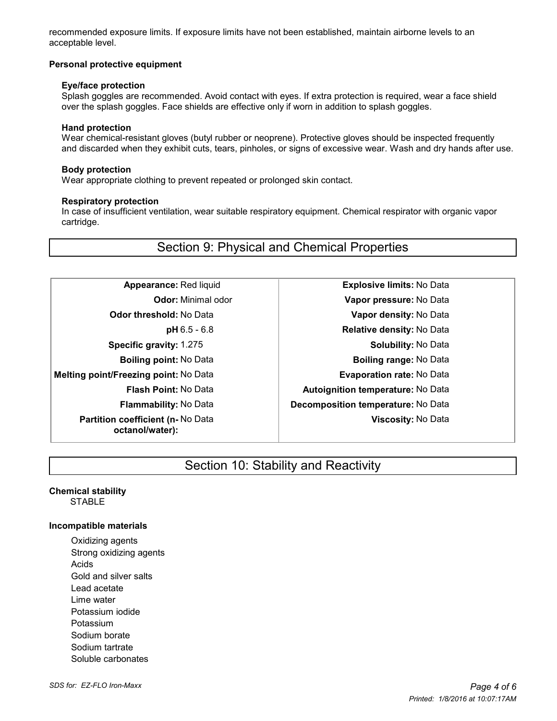recommended exposure limits. If exposure limits have not been established, maintain airborne levels to an acceptable level.

### **Personal protective equipment**

#### **Eye/face protection**

 Splash goggles are recommended. Avoid contact with eyes. If extra protection is required, wear a face shield over the splash goggles. Face shields are effective only if worn in addition to splash goggles.

### **Hand protection**

 Wear chemical-resistant gloves (butyl rubber or neoprene). Protective gloves should be inspected frequently and discarded when they exhibit cuts, tears, pinholes, or signs of excessive wear. Wash and dry hands after use.

#### **Body protection**

Wear appropriate clothing to prevent repeated or prolonged skin contact.

#### **Respiratory protection**

 In case of insufficient ventilation, wear suitable respiratory equipment. Chemical respirator with organic vapor cartridge.

# Section 9: Physical and Chemical Properties

- **Melting point/Freezing point:** No Data **Evaporation rate:** No Data **Partition coefficient (n-** No Data **octanol/water):**
- **Appearance:** Red liquid **Explosive limits:** No Data **Odor:** Minimal odor **Vapor pressure:** No Data **Odor threshold:** No Data **Vapor density:** No Data **pH** 6.5 - 6.8 **Relative density:** No Data **Specific gravity:** 1.275 **Solubility:** No Data **Boiling point:** No Data **Boiling range:** No Data **Flash Point:** No Data **Autoignition temperature:** No Data **Flammability:** No Data **Decomposition temperature:** No Data **Viscosity:** No Data

# Section 10: Stability and Reactivity

#### **Chemical stability** STABLE

### **Incompatible materials**

Oxidizing agents Strong oxidizing agents Acids Gold and silver salts Lead acetate Lime water Potassium iodide Potassium Sodium borate Sodium tartrate Soluble carbonates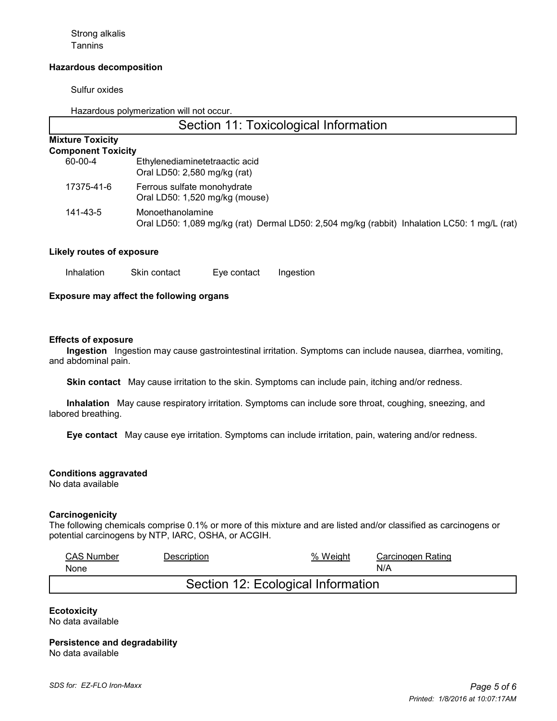Strong alkalis **Tannins** 

### **Hazardous decomposition**

Sulfur oxides

Hazardous polymerization will not occur.

# Section 11: Toxicological Information

#### **Mixture Toxicity Component Toxicity**

| OMPONENT LOXICITY |                                |
|-------------------|--------------------------------|
| 60-00-4           | Ethylenediaminetetraactic acid |
|                   | Oral LD50: 2,580 mg/kg (rat)   |
| 17375-41-6        | Ferrous sulfate monohydrate    |

Oral LD50: 1,520 mg/kg (mouse) 141-43-5 Monoethanolamine Oral LD50: 1,089 mg/kg (rat) Dermal LD50: 2,504 mg/kg (rabbit) Inhalation LC50: 1 mg/L (rat)

#### **Likely routes of exposure**

Inhalation Skin contact Eye contact Ingestion

# **Exposure may affect the following organs**

#### **Effects of exposure**

 **Ingestion** Ingestion may cause gastrointestinal irritation. Symptoms can include nausea, diarrhea, vomiting, and abdominal pain.

 **Skin contact** May cause irritation to the skin. Symptoms can include pain, itching and/or redness.

 **Inhalation** May cause respiratory irritation. Symptoms can include sore throat, coughing, sneezing, and labored breathing.

 **Eye contact** May cause eye irritation. Symptoms can include irritation, pain, watering and/or redness.

**Conditions aggravated**

No data available

#### **Carcinogenicity**

The following chemicals comprise 0.1% or more of this mixture and are listed and/or classified as carcinogens or potential carcinogens by NTP, IARC, OSHA, or ACGIH.

| <b>CAS Number</b>                  | Description | % Weight | Carcinogen Rating |  |  |
|------------------------------------|-------------|----------|-------------------|--|--|
| None                               |             |          | N/A               |  |  |
| Section 12: Ecological Information |             |          |                   |  |  |

**Ecotoxicity** No data available

**Persistence and degradability** No data available